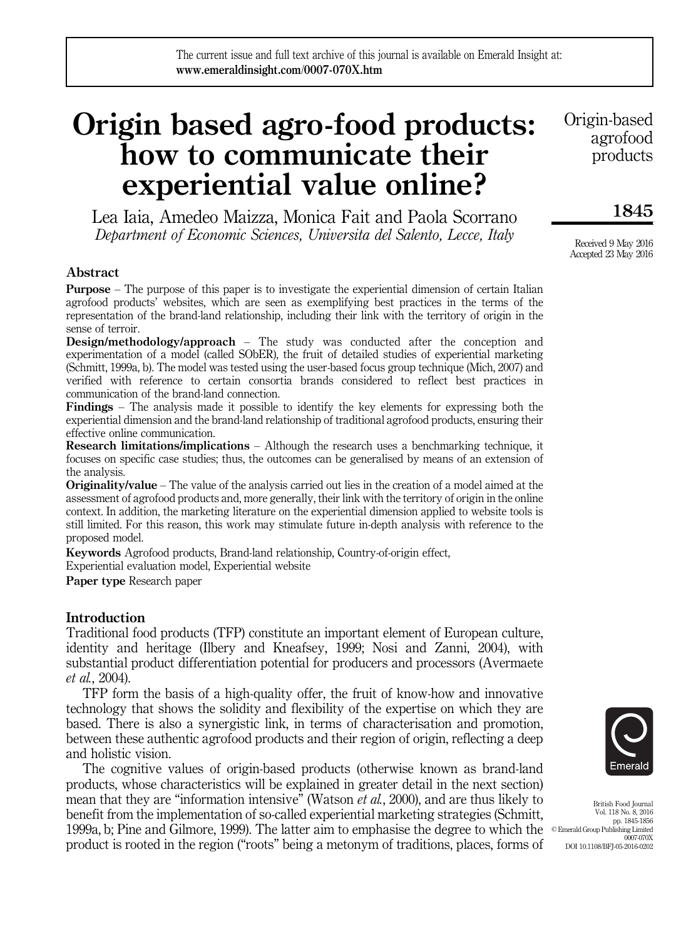# Origin based agro-food products: how to communicate their experiential value online?

Lea Iaia, Amedeo Maizza, Monica Fait and Paola Scorrano Department of Economic Sciences, Universita del Salento, Lecce, Italy

## Abstract

Purpose – The purpose of this paper is to investigate the experiential dimension of certain Italian agrofood products' websites, which are seen as exemplifying best practices in the terms of the representation of the brand-land relationship, including their link with the territory of origin in the sense of terroir.

Design/methodology/approach – The study was conducted after the conception and experimentation of a model (called SObER), the fruit of detailed studies of experiential marketing (Schmitt, 1999a, b). The model was tested using the user-based focus group technique (Mich, 2007) and verified with reference to certain consortia brands considered to reflect best practices in communication of the brand-land connection.

Findings – The analysis made it possible to identify the key elements for expressing both the experiential dimension and the brand-land relationship of traditional agrofood products, ensuring their effective online communication.

Research limitations/implications – Although the research uses a benchmarking technique, it focuses on specific case studies; thus, the outcomes can be generalised by means of an extension of the analysis.

**Originality/value** – The value of the analysis carried out lies in the creation of a model aimed at the assessment of agrofood products and, more generally, their link with the territory of origin in the online context. In addition, the marketing literature on the experiential dimension applied to website tools is still limited. For this reason, this work may stimulate future in-depth analysis with reference to the proposed model.

Keywords Agrofood products, Brand-land relationship, Country-of-origin effect,

Experiential evaluation model, Experiential website

Paper type Research paper

#### Introduction

Traditional food products (TFP) constitute an important element of European culture, identity and heritage (Ilbery and Kneafsey, 1999; Nosi and Zanni, 2004), with substantial product differentiation potential for producers and processors (Avermaete et al., 2004).

TFP form the basis of a high-quality offer, the fruit of know-how and innovative technology that shows the solidity and flexibility of the expertise on which they are based. There is also a synergistic link, in terms of characterisation and promotion, between these authentic agrofood products and their region of origin, reflecting a deep and holistic vision.

The cognitive values of origin-based products (otherwise known as brand-land products, whose characteristics will be explained in greater detail in the next section) mean that they are "information intensive" (Watson *et al.*, 2000), and are thus likely to benefit from the implementation of so-called experiential marketing strategies (Schmitt, 1999a, b; Pine and Gilmore, 1999). The latter aim to emphasise the degree to which the <sup>© Emerald Group Publishing Limited</sup> product is rooted in the region ("roots" being a metonym of traditions, places, forms of



British Food Journal Vol. 118 No. 8, 2016 pp. 1845-1856 0007-070X DOI 10.1108/BFJ-05-2016-0202

Origin-based agrofood products

1845

Received 9 May 2016 Accepted 23 May 2016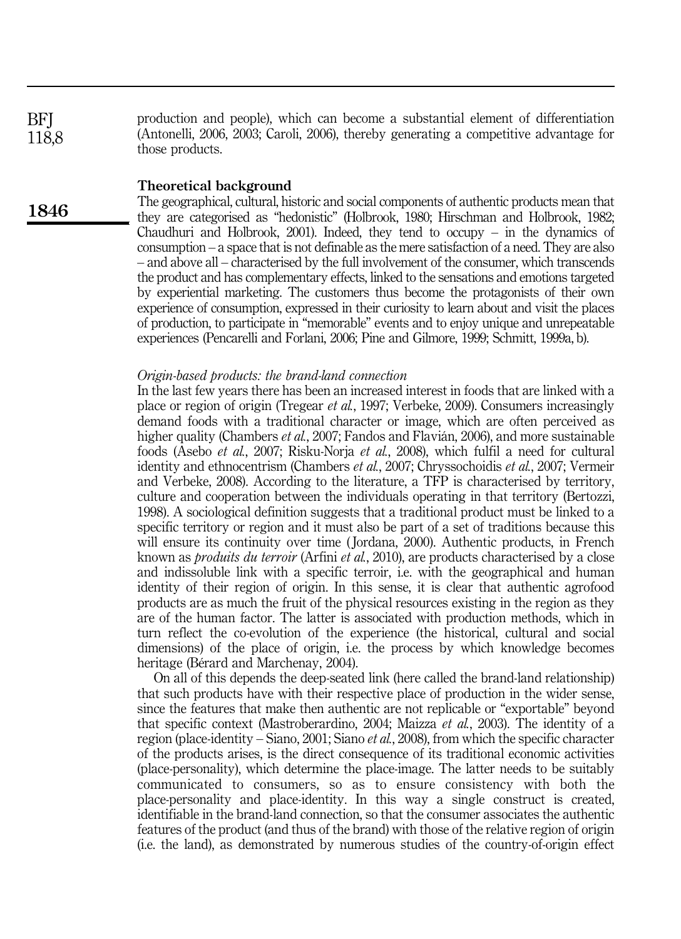production and people), which can become a substantial element of differentiation (Antonelli, 2006, 2003; Caroli, 2006), thereby generating a competitive advantage for those products. BFJ 118,8

#### Theoretical background

The geographical, cultural, historic and social components of authentic products mean that they are categorised as "hedonistic" (Holbrook, 1980; Hirschman and Holbrook, 1982; Chaudhuri and Holbrook, 2001). Indeed, they tend to occupy  $-$  in the dynamics of consumption – a space that is not definable as the mere satisfaction of a need. They are also – and above all – characterised by the full involvement of the consumer, which transcends the product and has complementary effects, linked to the sensations and emotions targeted by experiential marketing. The customers thus become the protagonists of their own experience of consumption, expressed in their curiosity to learn about and visit the places of production, to participate in "memorable" events and to enjoy unique and unrepeatable experiences (Pencarelli and Forlani, 2006; Pine and Gilmore, 1999; Schmitt, 1999a, b).

#### Origin-based products: the brand-land connection

In the last few years there has been an increased interest in foods that are linked with a place or region of origin (Tregear et al., 1997; Verbeke, 2009). Consumers increasingly demand foods with a traditional character or image, which are often perceived as higher quality (Chambers et al., 2007; Fandos and Flavián, 2006), and more sustainable foods (Asebo et al., 2007; Risku-Norja et al., 2008), which fulfil a need for cultural identity and ethnocentrism (Chambers et al., 2007; Chryssochoidis et al., 2007; Vermeir and Verbeke, 2008). According to the literature, a TFP is characterised by territory, culture and cooperation between the individuals operating in that territory (Bertozzi, 1998). A sociological definition suggests that a traditional product must be linked to a specific territory or region and it must also be part of a set of traditions because this will ensure its continuity over time ( Jordana, 2000). Authentic products, in French known as produits du terroir (Arfini et al., 2010), are products characterised by a close and indissoluble link with a specific terroir, i.e. with the geographical and human identity of their region of origin. In this sense, it is clear that authentic agrofood products are as much the fruit of the physical resources existing in the region as they are of the human factor. The latter is associated with production methods, which in turn reflect the co-evolution of the experience (the historical, cultural and social dimensions) of the place of origin, i.e. the process by which knowledge becomes heritage (Bérard and Marchenay, 2004).

On all of this depends the deep-seated link (here called the brand-land relationship) that such products have with their respective place of production in the wider sense, since the features that make then authentic are not replicable or "exportable" beyond that specific context (Mastroberardino, 2004; Maizza et al., 2003). The identity of a region (place-identity – Siano, 2001; Siano et al., 2008), from which the specific character of the products arises, is the direct consequence of its traditional economic activities (place-personality), which determine the place-image. The latter needs to be suitably communicated to consumers, so as to ensure consistency with both the place-personality and place-identity. In this way a single construct is created, identifiable in the brand-land connection, so that the consumer associates the authentic features of the product (and thus of the brand) with those of the relative region of origin (i.e. the land), as demonstrated by numerous studies of the country-of-origin effect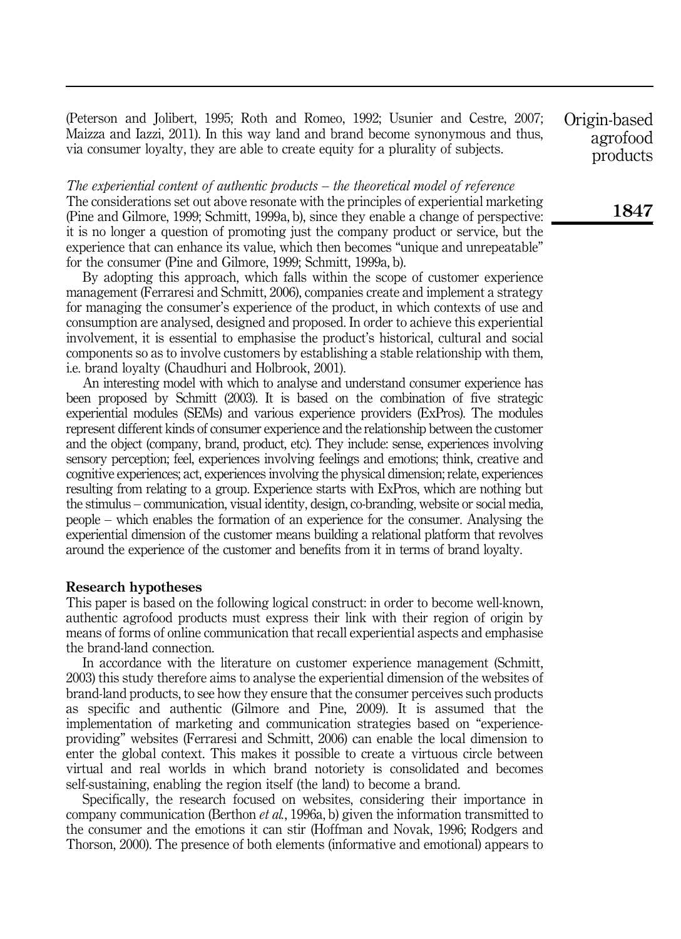(Peterson and Jolibert, 1995; Roth and Romeo, 1992; Usunier and Cestre, 2007; Maizza and Iazzi, 2011). In this way land and brand become synonymous and thus, via consumer loyalty, they are able to create equity for a plurality of subjects.

#### The experiential content of authentic products – the theoretical model of reference

The considerations set out above resonate with the principles of experiential marketing (Pine and Gilmore, 1999; Schmitt, 1999a, b), since they enable a change of perspective: it is no longer a question of promoting just the company product or service, but the experience that can enhance its value, which then becomes "unique and unrepeatable" for the consumer (Pine and Gilmore, 1999; Schmitt, 1999a, b).

By adopting this approach, which falls within the scope of customer experience management (Ferraresi and Schmitt, 2006), companies create and implement a strategy for managing the consumer's experience of the product, in which contexts of use and consumption are analysed, designed and proposed. In order to achieve this experiential involvement, it is essential to emphasise the product's historical, cultural and social components so as to involve customers by establishing a stable relationship with them, i.e. brand loyalty (Chaudhuri and Holbrook, 2001).

An interesting model with which to analyse and understand consumer experience has been proposed by Schmitt (2003). It is based on the combination of five strategic experiential modules (SEMs) and various experience providers (ExPros). The modules represent different kinds of consumer experience and the relationship between the customer and the object (company, brand, product, etc). They include: sense, experiences involving sensory perception; feel, experiences involving feelings and emotions; think, creative and cognitive experiences; act, experiences involving the physical dimension; relate, experiences resulting from relating to a group. Experience starts with ExPros, which are nothing but the stimulus – communication, visual identity, design, co-branding, website or social media, people – which enables the formation of an experience for the consumer. Analysing the experiential dimension of the customer means building a relational platform that revolves around the experience of the customer and benefits from it in terms of brand loyalty.

#### Research hypotheses

This paper is based on the following logical construct: in order to become well-known, authentic agrofood products must express their link with their region of origin by means of forms of online communication that recall experiential aspects and emphasise the brand-land connection.

In accordance with the literature on customer experience management (Schmitt, 2003) this study therefore aims to analyse the experiential dimension of the websites of brand-land products, to see how they ensure that the consumer perceives such products as specific and authentic (Gilmore and Pine, 2009). It is assumed that the implementation of marketing and communication strategies based on "experienceproviding" websites (Ferraresi and Schmitt, 2006) can enable the local dimension to enter the global context. This makes it possible to create a virtuous circle between virtual and real worlds in which brand notoriety is consolidated and becomes self-sustaining, enabling the region itself (the land) to become a brand.

Specifically, the research focused on websites, considering their importance in company communication (Berthon *et al.*, 1996a, b) given the information transmitted to the consumer and the emotions it can stir (Hoffman and Novak, 1996; Rodgers and Thorson, 2000). The presence of both elements (informative and emotional) appears to

Origin-based agrofood products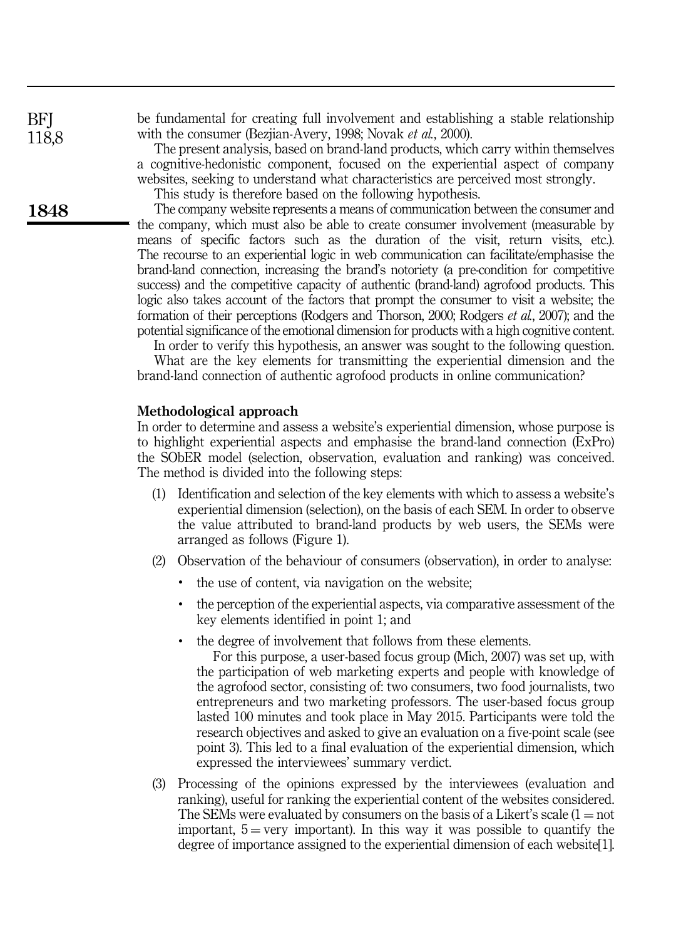be fundamental for creating full involvement and establishing a stable relationship with the consumer (Bezijan-Avery, 1998; Novak *et al.*, 2000).

The present analysis, based on brand-land products, which carry within themselves a cognitive-hedonistic component, focused on the experiential aspect of company websites, seeking to understand what characteristics are perceived most strongly.

This study is therefore based on the following hypothesis.

The company website represents a means of communication between the consumer and the company, which must also be able to create consumer involvement (measurable by means of specific factors such as the duration of the visit, return visits, etc.). The recourse to an experiential logic in web communication can facilitate/emphasise the brand-land connection, increasing the brand's notoriety (a pre-condition for competitive success) and the competitive capacity of authentic (brand-land) agrofood products. This logic also takes account of the factors that prompt the consumer to visit a website; the formation of their perceptions (Rodgers and Thorson, 2000; Rodgers et al., 2007); and the potential significance of the emotional dimension for products with a high cognitive content.

In order to verify this hypothesis, an answer was sought to the following question. What are the key elements for transmitting the experiential dimension and the brand-land connection of authentic agrofood products in online communication?

#### Methodological approach

In order to determine and assess a website's experiential dimension, whose purpose is to highlight experiential aspects and emphasise the brand-land connection (ExPro) the SObER model (selection, observation, evaluation and ranking) was conceived. The method is divided into the following steps:

- (1) Identification and selection of the key elements with which to assess a website's experiential dimension (selection), on the basis of each SEM. In order to observe the value attributed to brand-land products by web users, the SEMs were arranged as follows (Figure 1).
- (2) Observation of the behaviour of consumers (observation), in order to analyse:
	- the use of content, via navigation on the website;
	- the perception of the experiential aspects, via comparative assessment of the key elements identified in point 1; and
	- the degree of involvement that follows from these elements.

For this purpose, a user-based focus group (Mich, 2007) was set up, with the participation of web marketing experts and people with knowledge of the agrofood sector, consisting of: two consumers, two food journalists, two entrepreneurs and two marketing professors. The user-based focus group lasted 100 minutes and took place in May 2015. Participants were told the research objectives and asked to give an evaluation on a five-point scale (see point 3). This led to a final evaluation of the experiential dimension, which expressed the interviewees' summary verdict.

(3) Processing of the opinions expressed by the interviewees (evaluation and ranking), useful for ranking the experiential content of the websites considered. The SEMs were evaluated by consumers on the basis of a Likert's scale  $(1 = not$ important,  $5 = \text{very important}$ . In this way it was possible to quantify the degree of importance assigned to the experiential dimension of each website[1].

1848

**BFI** 118,8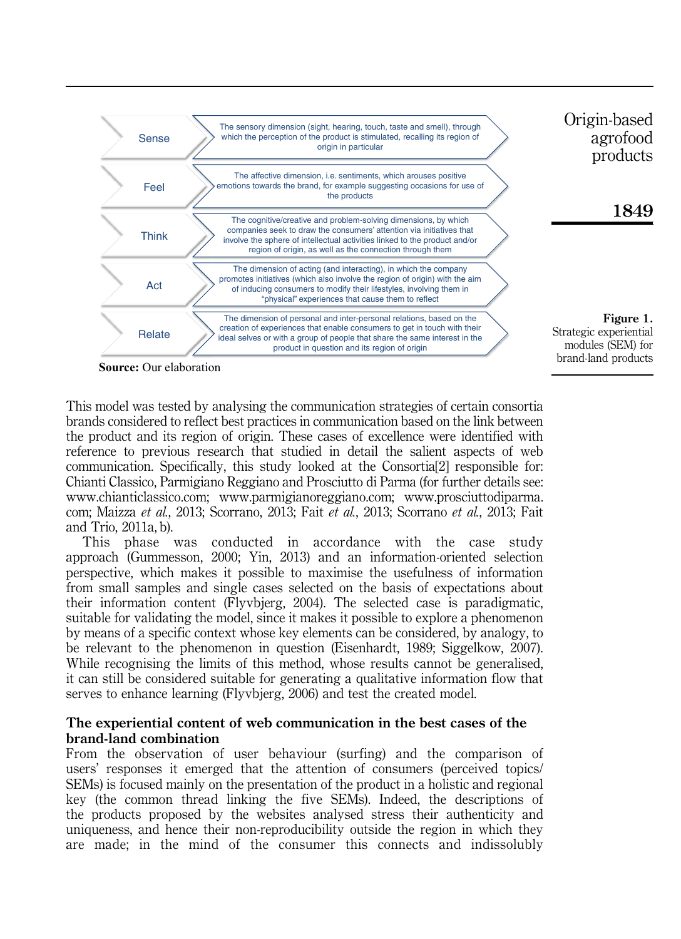

This model was tested by analysing the communication strategies of certain consortia brands considered to reflect best practices in communication based on the link between the product and its region of origin. These cases of excellence were identified with reference to previous research that studied in detail the salient aspects of web communication. Specifically, this study looked at the Consortia[2] responsible for: Chianti Classico, Parmigiano Reggiano and Prosciutto di Parma (for further details see: [www.chianticlassico.com;](www.chianticlassico.com) [www.parmigianoreggiano.com;](www.parmigianoreggiano.com) [www.prosciuttodiparma.](www.prosciuttodiparma.com) [com](www.prosciuttodiparma.com); Maizza et al., 2013; Scorrano, 2013; Fait et al., 2013; Scorrano et al., 2013; Fait and Trio, 2011a, b).

This phase was conducted in accordance with the case study approach (Gummesson, 2000; Yin, 2013) and an information-oriented selection perspective, which makes it possible to maximise the usefulness of information from small samples and single cases selected on the basis of expectations about their information content (Flyvbjerg, 2004). The selected case is paradigmatic, suitable for validating the model, since it makes it possible to explore a phenomenon by means of a specific context whose key elements can be considered, by analogy, to be relevant to the phenomenon in question (Eisenhardt, 1989; Siggelkow, 2007). While recognising the limits of this method, whose results cannot be generalised, it can still be considered suitable for generating a qualitative information flow that serves to enhance learning (Flyvbjerg, 2006) and test the created model.

## The experiential content of web communication in the best cases of the brand-land combination

From the observation of user behaviour (surfing) and the comparison of users' responses it emerged that the attention of consumers (perceived topics/ SEMs) is focused mainly on the presentation of the product in a holistic and regional key (the common thread linking the five SEMs). Indeed, the descriptions of the products proposed by the websites analysed stress their authenticity and uniqueness, and hence their non-reproducibility outside the region in which they are made; in the mind of the consumer this connects and indissolubly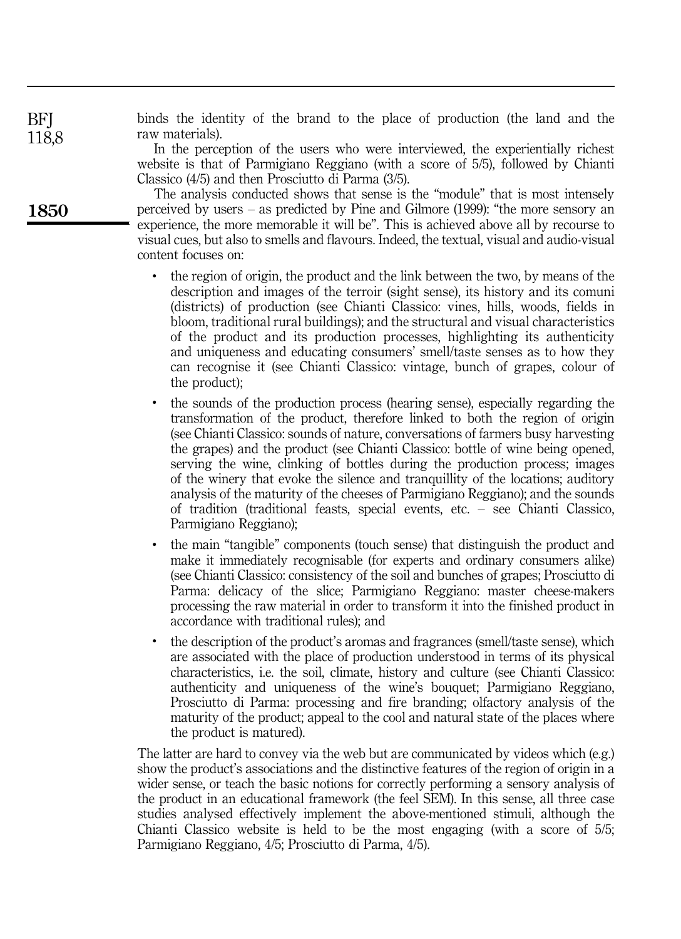binds the identity of the brand to the place of production (the land and the raw materials).

In the perception of the users who were interviewed, the experientially richest website is that of Parmigiano Reggiano (with a score of 5/5), followed by Chianti Classico (4/5) and then Prosciutto di Parma (3/5).

The analysis conducted shows that sense is the "module" that is most intensely perceived by users – as predicted by Pine and Gilmore (1999): "the more sensory an experience, the more memorable it will be". This is achieved above all by recourse to visual cues, but also to smells and flavours. Indeed, the textual, visual and audio-visual content focuses on:

- the region of origin, the product and the link between the two, by means of the description and images of the terroir (sight sense), its history and its comuni (districts) of production (see Chianti Classico: vines, hills, woods, fields in bloom, traditional rural buildings); and the structural and visual characteristics of the product and its production processes, highlighting its authenticity and uniqueness and educating consumers' smell/taste senses as to how they can recognise it (see Chianti Classico: vintage, bunch of grapes, colour of the product);
- the sounds of the production process (hearing sense), especially regarding the transformation of the product, therefore linked to both the region of origin (see Chianti Classico: sounds of nature, conversations of farmers busy harvesting the grapes) and the product (see Chianti Classico: bottle of wine being opened, serving the wine, clinking of bottles during the production process; images of the winery that evoke the silence and tranquillity of the locations; auditory analysis of the maturity of the cheeses of Parmigiano Reggiano); and the sounds of tradition (traditional feasts, special events, etc. – see Chianti Classico, Parmigiano Reggiano);
- the main "tangible" components (touch sense) that distinguish the product and make it immediately recognisable (for experts and ordinary consumers alike) (see Chianti Classico: consistency of the soil and bunches of grapes; Prosciutto di Parma: delicacy of the slice; Parmigiano Reggiano: master cheese-makers processing the raw material in order to transform it into the finished product in accordance with traditional rules); and
- the description of the product's aromas and fragrances (smell/taste sense), which are associated with the place of production understood in terms of its physical characteristics, i.e. the soil, climate, history and culture (see Chianti Classico: authenticity and uniqueness of the wine's bouquet; Parmigiano Reggiano, Prosciutto di Parma: processing and fire branding; olfactory analysis of the maturity of the product; appeal to the cool and natural state of the places where the product is matured).

The latter are hard to convey via the web but are communicated by videos which (e.g.) show the product's associations and the distinctive features of the region of origin in a wider sense, or teach the basic notions for correctly performing a sensory analysis of the product in an educational framework (the feel SEM). In this sense, all three case studies analysed effectively implement the above-mentioned stimuli, although the Chianti Classico website is held to be the most engaging (with a score of 5/5; Parmigiano Reggiano, 4/5; Prosciutto di Parma, 4/5).

**BFI** 118,8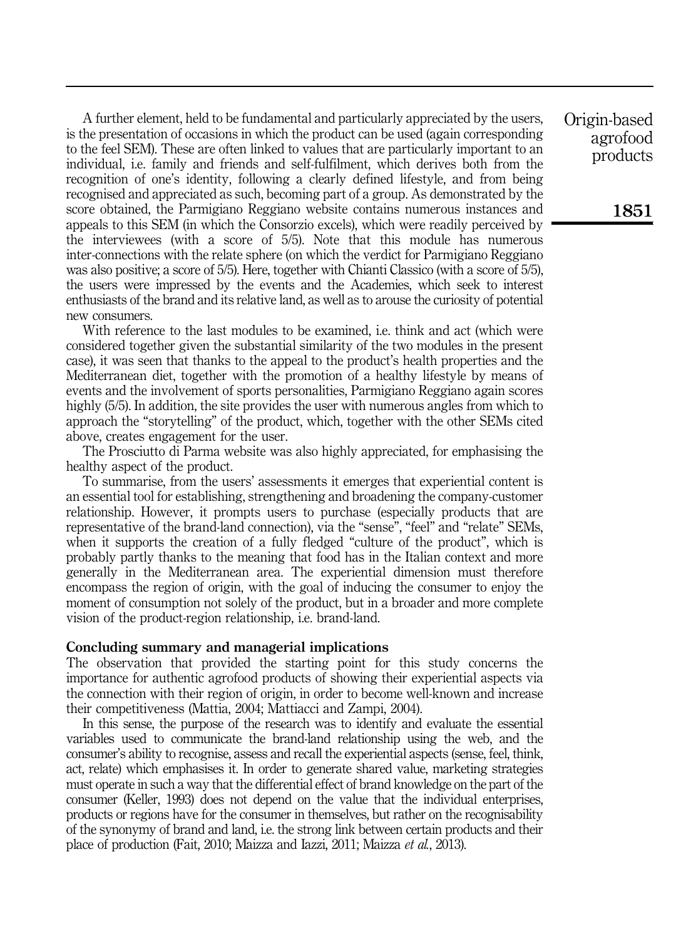A further element, held to be fundamental and particularly appreciated by the users, is the presentation of occasions in which the product can be used (again corresponding to the feel SEM). These are often linked to values that are particularly important to an individual, i.e. family and friends and self-fulfilment, which derives both from the recognition of one's identity, following a clearly defined lifestyle, and from being recognised and appreciated as such, becoming part of a group. As demonstrated by the score obtained, the Parmigiano Reggiano website contains numerous instances and appeals to this SEM (in which the Consorzio excels), which were readily perceived by the interviewees (with a score of 5/5). Note that this module has numerous inter-connections with the relate sphere (on which the verdict for Parmigiano Reggiano was also positive; a score of 5/5). Here, together with Chianti Classico (with a score of 5/5), the users were impressed by the events and the Academies, which seek to interest enthusiasts of the brand and its relative land, as well as to arouse the curiosity of potential new consumers.

With reference to the last modules to be examined, i.e. think and act (which were considered together given the substantial similarity of the two modules in the present case), it was seen that thanks to the appeal to the product's health properties and the Mediterranean diet, together with the promotion of a healthy lifestyle by means of events and the involvement of sports personalities, Parmigiano Reggiano again scores highly (5/5). In addition, the site provides the user with numerous angles from which to approach the "storytelling" of the product, which, together with the other SEMs cited above, creates engagement for the user.

The Prosciutto di Parma website was also highly appreciated, for emphasising the healthy aspect of the product.

To summarise, from the users' assessments it emerges that experiential content is an essential tool for establishing, strengthening and broadening the company-customer relationship. However, it prompts users to purchase (especially products that are representative of the brand-land connection), via the "sense", "feel" and "relate" SEMs, when it supports the creation of a fully fledged "culture of the product", which is probably partly thanks to the meaning that food has in the Italian context and more generally in the Mediterranean area. The experiential dimension must therefore encompass the region of origin, with the goal of inducing the consumer to enjoy the moment of consumption not solely of the product, but in a broader and more complete vision of the product-region relationship, i.e. brand-land.

#### Concluding summary and managerial implications

The observation that provided the starting point for this study concerns the importance for authentic agrofood products of showing their experiential aspects via the connection with their region of origin, in order to become well-known and increase their competitiveness (Mattia, 2004; Mattiacci and Zampi, 2004).

In this sense, the purpose of the research was to identify and evaluate the essential variables used to communicate the brand-land relationship using the web, and the consumer's ability to recognise, assess and recall the experiential aspects (sense, feel, think, act, relate) which emphasises it. In order to generate shared value, marketing strategies must operate in such a way that the differential effect of brand knowledge on the part of the consumer (Keller, 1993) does not depend on the value that the individual enterprises, products or regions have for the consumer in themselves, but rather on the recognisability of the synonymy of brand and land, i.e. the strong link between certain products and their place of production (Fait, 2010; Maizza and Iazzi, 2011; Maizza et al., 2013).

Origin-based agrofood products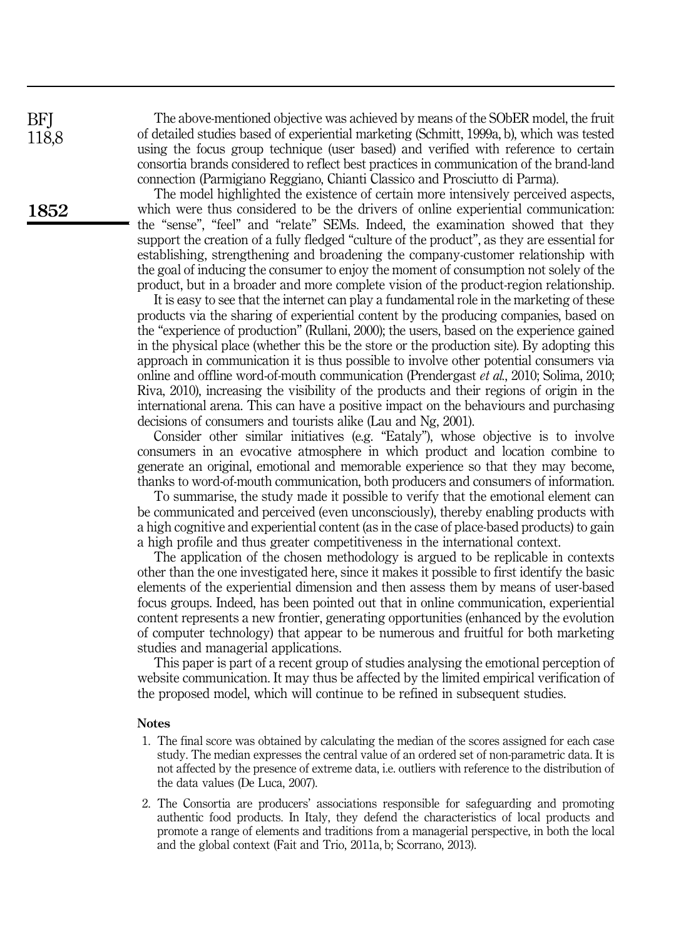The above-mentioned objective was achieved by means of the SObER model, the fruit of detailed studies based of experiential marketing (Schmitt, 1999a, b), which was tested using the focus group technique (user based) and verified with reference to certain consortia brands considered to reflect best practices in communication of the brand-land connection (Parmigiano Reggiano, Chianti Classico and Prosciutto di Parma).

The model highlighted the existence of certain more intensively perceived aspects, which were thus considered to be the drivers of online experiential communication: the "sense", "feel" and "relate" SEMs. Indeed, the examination showed that they support the creation of a fully fledged "culture of the product", as they are essential for establishing, strengthening and broadening the company-customer relationship with the goal of inducing the consumer to enjoy the moment of consumption not solely of the product, but in a broader and more complete vision of the product-region relationship.

It is easy to see that the internet can play a fundamental role in the marketing of these products via the sharing of experiential content by the producing companies, based on the "experience of production" (Rullani, 2000); the users, based on the experience gained in the physical place (whether this be the store or the production site). By adopting this approach in communication it is thus possible to involve other potential consumers via online and offline word-of-mouth communication (Prendergast et al., 2010; Solima, 2010; Riva, 2010), increasing the visibility of the products and their regions of origin in the international arena. This can have a positive impact on the behaviours and purchasing decisions of consumers and tourists alike (Lau and Ng, 2001).

Consider other similar initiatives (e.g. "Eataly"), whose objective is to involve consumers in an evocative atmosphere in which product and location combine to generate an original, emotional and memorable experience so that they may become, thanks to word-of-mouth communication, both producers and consumers of information.

To summarise, the study made it possible to verify that the emotional element can be communicated and perceived (even unconsciously), thereby enabling products with a high cognitive and experiential content (as in the case of place-based products) to gain a high profile and thus greater competitiveness in the international context.

The application of the chosen methodology is argued to be replicable in contexts other than the one investigated here, since it makes it possible to first identify the basic elements of the experiential dimension and then assess them by means of user-based focus groups. Indeed, has been pointed out that in online communication, experiential content represents a new frontier, generating opportunities (enhanced by the evolution of computer technology) that appear to be numerous and fruitful for both marketing studies and managerial applications.

This paper is part of a recent group of studies analysing the emotional perception of website communication. It may thus be affected by the limited empirical verification of the proposed model, which will continue to be refined in subsequent studies.

#### **Notes**

- 1. The final score was obtained by calculating the median of the scores assigned for each case study. The median expresses the central value of an ordered set of non-parametric data. It is not affected by the presence of extreme data, i.e. outliers with reference to the distribution of the data values (De Luca, 2007).
- 2. The Consortia are producers' associations responsible for safeguarding and promoting authentic food products. In Italy, they defend the characteristics of local products and promote a range of elements and traditions from a managerial perspective, in both the local and the global context (Fait and Trio, 2011a, b; Scorrano, 2013).

**BFI** 118,8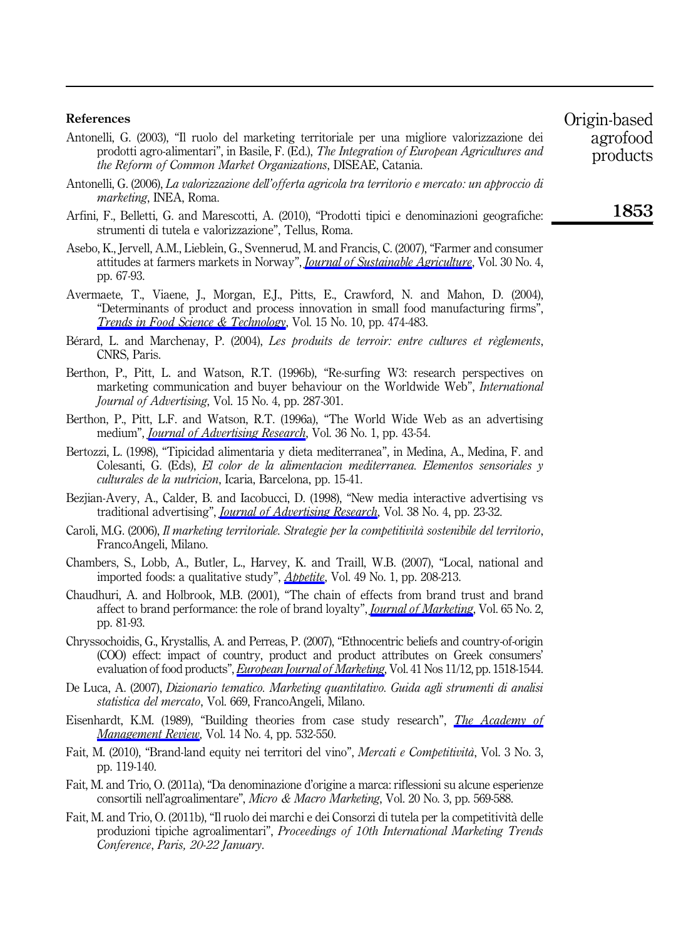| References                                                                                                                                                                                                                                                                                              | Origin-based         |
|---------------------------------------------------------------------------------------------------------------------------------------------------------------------------------------------------------------------------------------------------------------------------------------------------------|----------------------|
| Antonelli, G. (2003), "Il ruolo del marketing territoriale per una migliore valorizzazione dei<br>prodotti agro-alimentari", in Basile, F. (Ed.), The Integration of European Agricultures and<br><i>the Reform of Common Market Organizations, DISEAE, Catania.</i>                                    | agrofood<br>products |
| Antonelli, G. (2006), La valorizzazione dell'offerta agricola tra territorio e mercato: un approccio di<br>marketing, INEA, Roma.                                                                                                                                                                       |                      |
| Arfini, F., Belletti, G. and Marescotti, A. (2010), "Prodotti tipici e denominazioni geografiche:<br>strumenti di tutela e valorizzazione", Tellus, Roma.                                                                                                                                               | 1853                 |
| Asebo, K., Jervell, A.M., Lieblein, G., Svennerud, M. and Francis, C. (2007), "Farmer and consumer<br>attitudes at farmers markets in Norway", <i>Journal of Sustainable Agriculture</i> , Vol. 30 No. 4,<br>pp. 67-93.                                                                                 |                      |
| Avermaete, T., Viaene, J., Morgan, E.J., Pitts, E., Crawford, N. and Mahon, D. (2004),<br>"Determinants of product and process innovation in small food manufacturing firms",<br>Trends in Food Science & Technology, Vol. 15 No. 10, pp. 474-483.                                                      |                      |
| Bérard, L. and Marchenay, P. (2004), Les produits de terroir: entre cultures et règlements,<br>CNRS, Paris.                                                                                                                                                                                             |                      |
| Berthon, P., Pitt, L. and Watson, R.T. (1996b), "Re-surfing W3: research perspectives on<br>marketing communication and buyer behaviour on the Worldwide Web", International<br><i>Journal of Advertising</i> , Vol. 15 No. 4, pp. 287-301.                                                             |                      |
| Berthon, P., Pitt, L.F. and Watson, R.T. (1996a), "The World Wide Web as an advertising<br>medium", <i>Journal of Advertising Research</i> , Vol. 36 No. 1, pp. 43-54.                                                                                                                                  |                      |
| Bertozzi, L. (1998), "Tipicidad alimentaria y dieta mediterranea", in Medina, A., Medina, F. and<br>Colesanti, G. (Eds), El color de la alimentacion mediterranea. Elementos sensoriales y<br>culturales de la nutricion, Icaria, Barcelona, pp. 15-41.                                                 |                      |
| Bezjian-Avery, A., Calder, B. and Iacobucci, D. (1998), "New media interactive advertising vs<br>traditional advertising", <i>Journal of Advertising Research</i> , Vol. 38 No. 4, pp. 23-32.                                                                                                           |                      |
| Caroli, M.G. (2006), Il marketing territoriale. Strategie per la competitività sostenibile del territorio,<br>FrancoAngeli, Milano.                                                                                                                                                                     |                      |
| Chambers, S., Lobb, A., Butler, L., Harvey, K. and Traill, W.B. (2007), "Local, national and<br>imported foods: a qualitative study", <i>Appetite</i> , Vol. 49 No. 1, pp. 208-213.                                                                                                                     |                      |
| Chaudhuri, A. and Holbrook, M.B. (2001), "The chain of effects from brand trust and brand<br>affect to brand performance: the role of brand loyalty", <i>Journal of Marketing</i> , Vol. 65 No. 2,<br>pp. 81-93.                                                                                        |                      |
| Chryssochoidis, G., Krystallis, A. and Perreas, P. (2007), "Ethnocentric beliefs and country-of-origin<br>(COO) effect: impact of country, product and product attributes on Greek consumers'<br>evaluation of food products", <i>European Journal of Marketing</i> , Vol. 41 Nos 11/12, pp. 1518-1544. |                      |
| De Luca, A. (2007), Dizionario tematico. Marketing quantitativo. Guida agli strumenti di analisi<br><i>statistica del mercato, Vol. 669, FrancoAngeli, Milano.</i>                                                                                                                                      |                      |
| Eisenhardt, K.M. (1989), "Building theories from case study research", <i>The Academy of</i><br>Management Review, Vol. 14 No. 4, pp. 532-550.                                                                                                                                                          |                      |
| Fait, M. (2010), "Brand-land equity nei territori del vino", Mercati e Competitività, Vol. 3 No. 3,<br>pp. 119-140.                                                                                                                                                                                     |                      |
| Fait, M. and Trio, O. (2011a), "Da denominazione d'origine a marca: riflessioni su alcune esperienze<br>consortili nell'agroalimentare", Micro & Macro Marketing, Vol. 20 No. 3, pp. 569-588.                                                                                                           |                      |
| Fait, M. and Trio, O. (2011b), "Il ruolo dei marchi e dei Consorzi di tutela per la competitività delle<br>produzioni tipiche agroalimentari", Proceedings of 10th International Marketing Trends                                                                                                       |                      |

Conference, Paris, 20-22 January.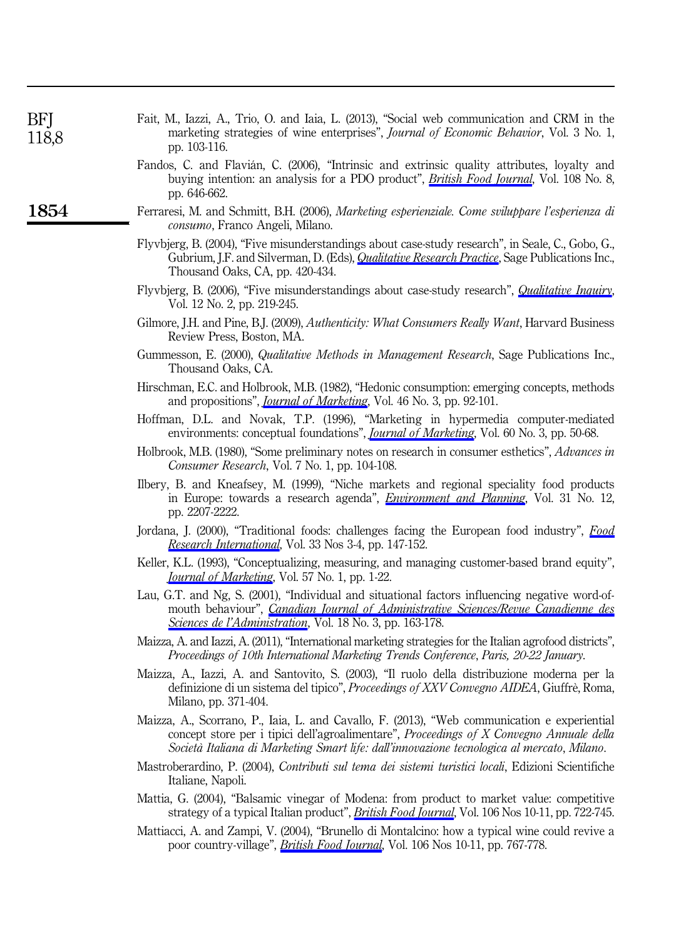| BFJ<br>118,8 | Fait, M., Iazzi, A., Trio, O. and Iaia, L. (2013), "Social web communication and CRM in the<br>marketing strategies of wine enterprises", Journal of Economic Behavior, Vol. 3 No. 1,<br>pp. 103-116.                                                                                  |
|--------------|----------------------------------------------------------------------------------------------------------------------------------------------------------------------------------------------------------------------------------------------------------------------------------------|
|              | Fandos, C. and Flavián, C. (2006), "Intrinsic and extrinsic quality attributes, loyalty and<br>buying intention: an analysis for a PDO product", <i>British Food Journal</i> , Vol. 108 No. 8,<br>pp. 646-662.                                                                         |
| 1854         | Ferraresi, M. and Schmitt, B.H. (2006), Marketing esperienziale. Come sviluppare l'esperienza di<br><i>consumo</i> , Franco Angeli, Milano.                                                                                                                                            |
|              | Flyvbjerg, B. (2004), "Five misunderstandings about case-study research", in Seale, C., Gobo, G.,<br>Gubrium, J.F. and Silverman, D. (Eds), Qualitative Research Practice, Sage Publications Inc.,<br>Thousand Oaks, CA, pp. 420-434.                                                  |
|              | Flyvbjerg, B. (2006), "Five misunderstandings about case-study research", <i>Qualitative Inquiry</i> ,<br>Vol. 12 No. 2, pp. 219-245.                                                                                                                                                  |
|              | Gilmore, J.H. and Pine, B.J. (2009), <i>Authenticity: What Consumers Really Want</i> , Harvard Business<br>Review Press, Boston, MA.                                                                                                                                                   |
|              | Gummesson, E. (2000), Qualitative Methods in Management Research, Sage Publications Inc.,<br>Thousand Oaks, CA.                                                                                                                                                                        |
|              | Hirschman, E.C. and Holbrook, M.B. (1982), "Hedonic consumption: emerging concepts, methods<br>and propositions", <i>Journal of Marketing</i> , Vol. 46 No. 3, pp. 92-101.                                                                                                             |
|              | Hoffman, D.L. and Novak, T.P. (1996), "Marketing in hypermedia computer-mediated<br>environments: conceptual foundations", <i>Journal of Marketing</i> , Vol. 60 No. 3, pp. 50-68.                                                                                                     |
|              | Holbrook, M.B. (1980), "Some preliminary notes on research in consumer esthetics", <i>Advances in</i><br>Consumer Research, Vol. 7 No. 1, pp. 104-108.                                                                                                                                 |
|              | Ilbery, B. and Kneafsey, M. (1999), "Niche markets and regional speciality food products<br>in Europe: towards a research agenda", <i>Environment and Planning</i> , Vol. 31 No. 12,<br>pp. 2207-2222.                                                                                 |
|              | Jordana, J. (2000), "Traditional foods: challenges facing the European food industry", Food<br>Research International, Vol. 33 Nos 3-4, pp. 147-152.                                                                                                                                   |
|              | Keller, K.L. (1993), "Conceptualizing, measuring, and managing customer-based brand equity",<br><i>Journal of Marketing</i> , Vol. 57 No. 1, pp. 1-22.                                                                                                                                 |
|              | Lau, G.T. and Ng, S. (2001), "Individual and situational factors influencing negative word-of-<br>mouth behaviour", <i>Canadian Journal of Administrative Sciences/Revue Canadienne des</i><br>Sciences de l'Administration, Vol. 18 No. 3, pp. 163-178.                               |
|              | Maizza, A. and Iazzi, A. (2011), "International marketing strategies for the Italian agrofood districts",<br>Proceedings of 10th International Marketing Trends Conference, Paris, 20-22 January.                                                                                      |
|              | Maizza, A., Iazzi, A. and Santovito, S. (2003), "Il ruolo della distribuzione moderna per la<br>definizione di un sistema del tipico", Proceedings of XXV Convegno AIDEA, Giuffrè, Roma,<br>Milano, pp. 371-404.                                                                       |
|              | Maizza, A., Scorrano, P., Iaia, L. and Cavallo, F. (2013), "Web communication e experiential<br>concept store per i tipici dell'agroalimentare", Proceedings of X Convegno Annuale della<br>Società Italiana di Marketing Smart life: dall'innovazione tecnologica al mercato, Milano. |
|              | Mastroberardino, P. (2004), Contributi sul tema dei sistemi turistici locali, Edizioni Scientifiche<br>Italiane, Napoli.                                                                                                                                                               |
|              | Mattia, G. (2004), "Balsamic vinegar of Modena: from product to market value: competitive<br>strategy of a typical Italian product", <i>British Food Journal</i> , Vol. 106 Nos 10-11, pp. 722-745.                                                                                    |
|              | Mattiacci, A. and Zampi, V. (2004), "Brunello di Montalcino: how a typical wine could revive a<br>poor country-village", British Food Journal, Vol. 106 Nos 10-11, pp. 767-778.                                                                                                        |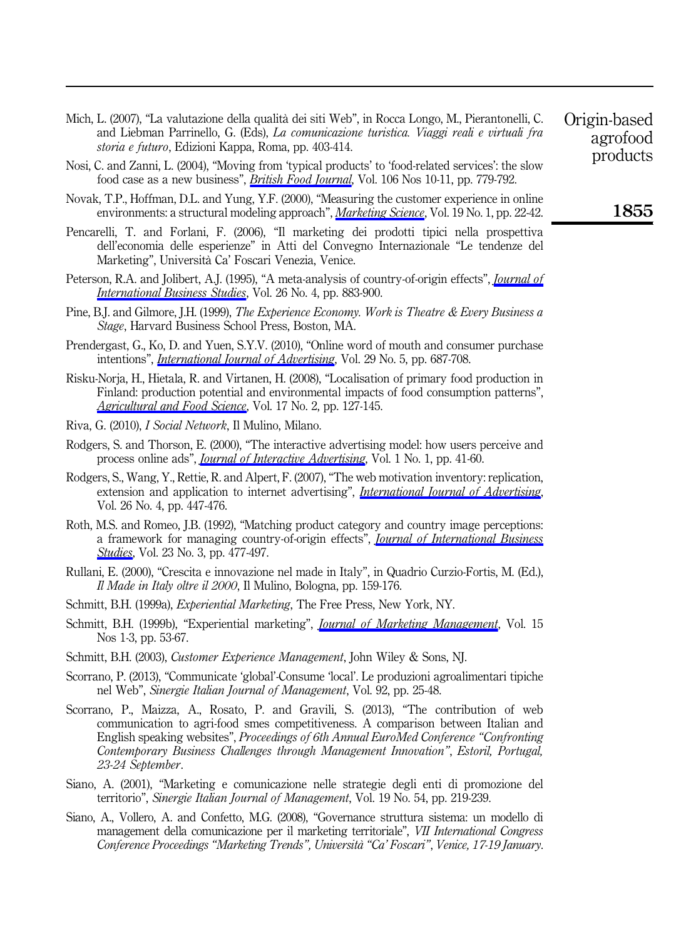- Mich, L. (2007), "La valutazione della qualità dei siti Web", in Rocca Longo, M., Pierantonelli, C. and Liebman Parrinello, G. (Eds), La comunicazione turistica. Viaggi reali e virtuali fra storia e futuro, Edizioni Kappa, Roma, pp. 403-414.
- Nosi, C. and Zanni, L. (2004), "Moving from 'typical products' to 'food-related services': the slow food case as a new business", *[British Food Journal](http://www.emeraldinsight.com/action/showLinks?system=10.1108%2F00070700410561388)*, Vol. 106 Nos 10-11, pp. 779-792.
- Novak, T.P., Hoffman, D.L. and Yung, Y.F. (2000), "Measuring the customer experience in online environments: a structural modeling approach", [Marketing Science](http://www.emeraldinsight.com/action/showLinks?crossref=10.1287%2Fmksc.19.1.22.15184&isi=000087056200003), Vol. 19 No. 1, pp. 22-42.
- Pencarelli, T. and Forlani, F. (2006), "Il marketing dei prodotti tipici nella prospettiva dell'economia delle esperienze" in Atti del Convegno Internazionale "Le tendenze del Marketing", Università Ca' Foscari Venezia, Venice.
- Peterson, R.A. and Jolibert, A.J. (1995), "A meta-analysis of country-of-origin effects", *[Journal of](http://www.emeraldinsight.com/action/showLinks?crossref=10.1057%2Fpalgrave.jibs.8490824&isi=A1995TP45200008)* [International Business Studies](http://www.emeraldinsight.com/action/showLinks?crossref=10.1057%2Fpalgrave.jibs.8490824&isi=A1995TP45200008), Vol. 26 No. 4, pp. 883-900.
- Pine, B.J. and Gilmore, J.H. (1999), The Experience Economy. Work is Theatre & Every Business a Stage, Harvard Business School Press, Boston, MA.
- Prendergast, G., Ko, D. and Yuen, S.Y.V. (2010), "Online word of mouth and consumer purchase intentions", [International Journal of Advertising](http://www.emeraldinsight.com/action/showLinks?crossref=10.2501%2FS0265048710201427&isi=000285656500002), Vol. 29 No. 5, pp. 687-708.
- Risku-Norja, H., Hietala, R. and Virtanen, H. (2008), "Localisation of primary food production in Finland: production potential and environmental impacts of food consumption patterns", [Agricultural and Food Science](http://www.emeraldinsight.com/action/showLinks?crossref=10.2137%2F145960608785328233&isi=000258281000003), Vol. 17 No. 2, pp. 127-145.
- Riva, G. (2010), I Social Network, Il Mulino, Milano.
- Rodgers, S. and Thorson, E. (2000), "The interactive advertising model: how users perceive and process online ads", *[Journal of Interactive Advertising](http://www.emeraldinsight.com/action/showLinks?crossref=10.1080%2F15252019.2000.10722043)*, Vol. 1 No. 1, pp. 41-60.
- Rodgers, S., Wang, Y., Rettie, R. and Alpert, F. (2007), "The web motivation inventory: replication, extension and application to internet advertising", *[International Journal of Advertising](http://www.emeraldinsight.com/action/showLinks?isi=000251430200003)*, Vol. 26 No. 4, pp. 447-476.
- Roth, M.S. and Romeo, J.B. (1992), "Matching product category and country image perceptions: a framework for managing country-of-origin effects", *[Journal of International Business](http://www.emeraldinsight.com/action/showLinks?crossref=10.1057%2Fpalgrave.jibs.8490276&isi=A1992JT17500005)* [Studies](http://www.emeraldinsight.com/action/showLinks?crossref=10.1057%2Fpalgrave.jibs.8490276&isi=A1992JT17500005), Vol. 23 No. 3, pp. 477-497.
- Rullani, E. (2000), "Crescita e innovazione nel made in Italy", in Quadrio Curzio-Fortis, M. (Ed.), Il Made in Italy oltre il 2000, Il Mulino, Bologna, pp. 159-176.
- Schmitt, B.H. (1999a), *Experiential Marketing*, The Free Press, New York, NY.
- Schmitt, B.H. (1999b), "Experiential marketing", *[Journal of Marketing Management](http://www.emeraldinsight.com/action/showLinks?crossref=10.1362%2F026725799784870496)*, Vol. 15 Nos 1-3, pp. 53-67.
- Schmitt, B.H. (2003), *Customer Experience Management*, John Wiley & Sons, NJ.
- Scorrano, P. (2013), "Communicate 'global'-Consume 'local'. Le produzioni agroalimentari tipiche nel Web", Sinergie Italian Journal of Management, Vol. 92, pp. 25-48.
- Scorrano, P., Maizza, A., Rosato, P. and Gravili, S. (2013), "The contribution of web communication to agri-food smes competitiveness. A comparison between Italian and English speaking websites", Proceedings of 6th Annual EuroMed Conference "Confronting Contemporary Business Challenges through Management Innovation", Estoril, Portugal, 23-24 September.
- Siano, A. (2001), "Marketing e comunicazione nelle strategie degli enti di promozione del territorio", Sinergie Italian Journal of Management, Vol. 19 No. 54, pp. 219-239.
- Siano, A., Vollero, A. and Confetto, M.G. (2008), "Governance struttura sistema: un modello di management della comunicazione per il marketing territoriale", VII International Congress Conference Proceedings "Marketing Trends", Università "Ca' Foscari", Venice, 17-19 January.

Origin-based agrofood products